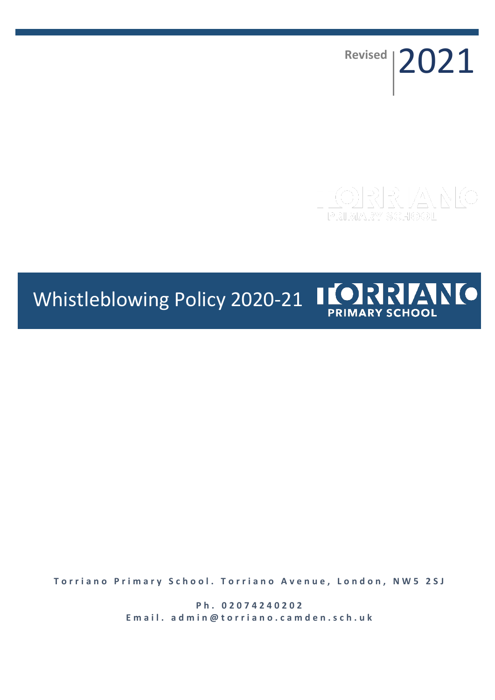**Revised** 2021

# Whistleblowing Policy 2020-21 IORRIANO **PRIMARY SCHOOL**

**Torriano Primary School. Torriano Avenue, London, NW5 2SJ** 

**P h . 0 2 0 7 4 2 4 0 2 0 2** Email. admin@torriano.camden.sch.uk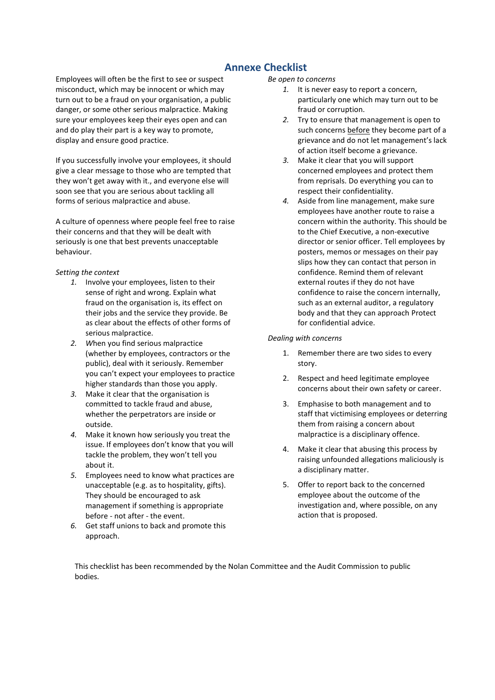# **Annexe Checklist**

Employees will often be the first to see or suspect misconduct, which may be innocent or which may turn out to be a fraud on your organisation, a public danger, or some other serious malpractice. Making sure your employees keep their eyes open and can and do play their part is a key way to promote, display and ensure good practice.

If you successfully involve your employees, it should give a clear message to those who are tempted that they won't get away with it., and everyone else will soon see that you are serious about tackling all forms of serious malpractice and abuse.

A culture of openness where people feel free to raise their concerns and that they will be dealt with seriously is one that best prevents unacceptable behaviour.

#### *Setting the context*

- *1.* Involve your employees, listen to their sense of right and wrong. Explain what fraud on the organisation is, its effect on their jobs and the service they provide. Be as clear about the effects of other forms of serious malpractice.
- *2. W*hen you find serious malpractice (whether by employees, contractors or the public), deal with it seriously. Remember you can't expect your employees to practice higher standards than those you apply.
- *3.* Make it clear that the organisation is committed to tackle fraud and abuse, whether the perpetrators are inside or outside.
- *4.* Make it known how seriously you treat the issue. If employees don't know that you will tackle the problem, they won't tell you about it.
- *5.* Employees need to know what practices are unacceptable (e.g. as to hospitality, gifts). They should be encouraged to ask management if something is appropriate before - not after - the event.
- *6.* Get staff unions to back and promote this approach.

#### *Be open to concerns*

- *1.* It is never easy to report a concern, particularly one which may turn out to be fraud or corruption.
- *2.* Try to ensure that management is open to such concerns before they become part of a grievance and do not let management's lack of action itself become a grievance.
- *3.* Make it clear that you will support concerned employees and protect them from reprisals. Do everything you can to respect their confidentiality.
- *4.* Aside from line management, make sure employees have another route to raise a concern within the authority. This should be to the Chief Executive, a non-executive director or senior officer. Tell employees by posters, memos or messages on their pay slips how they can contact that person in confidence. Remind them of relevant external routes if they do not have confidence to raise the concern internally, such as an external auditor, a regulatory body and that they can approach Protect for confidential advice.

#### *Dealing with concerns*

- 1. Remember there are two sides to every story.
- 2. Respect and heed legitimate employee concerns about their own safety or career.
- 3. Emphasise to both management and to staff that victimising employees or deterring them from raising a concern about malpractice is a disciplinary offence.
- 4. Make it clear that abusing this process by raising unfounded allegations maliciously is a disciplinary matter.
- 5. Offer to report back to the concerned employee about the outcome of the investigation and, where possible, on any action that is proposed.

This checklist has been recommended by the Nolan Committee and the Audit Commission to public bodies.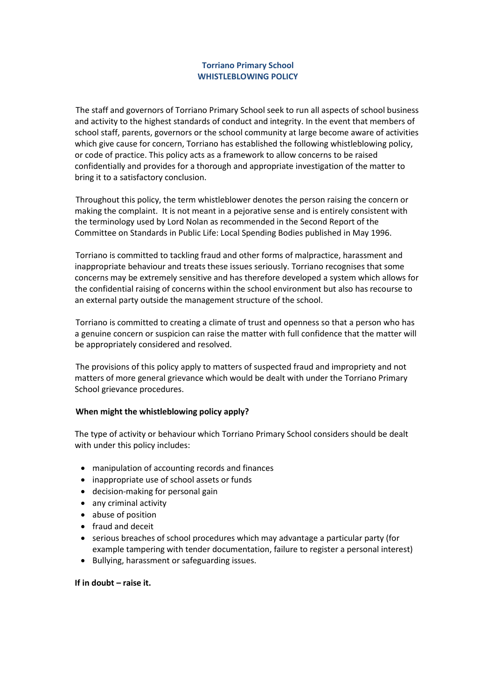# **Torriano Primary School WHISTLEBLOWING POLICY**

The staff and governors of Torriano Primary School seek to run all aspects of school business and activity to the highest standards of conduct and integrity. In the event that members of school staff, parents, governors or the school community at large become aware of activities which give cause for concern, Torriano has established the following whistleblowing policy, or code of practice. This policy acts as a framework to allow concerns to be raised confidentially and provides for a thorough and appropriate investigation of the matter to bring it to a satisfactory conclusion.

Throughout this policy, the term whistleblower denotes the person raising the concern or making the complaint. It is not meant in a pejorative sense and is entirely consistent with the terminology used by Lord Nolan as recommended in the Second Report of the Committee on Standards in Public Life: Local Spending Bodies published in May 1996.

Torriano is committed to tackling fraud and other forms of malpractice, harassment and inappropriate behaviour and treats these issues seriously. Torriano recognises that some concerns may be extremely sensitive and has therefore developed a system which allows for the confidential raising of concerns within the school environment but also has recourse to an external party outside the management structure of the school.

Torriano is committed to creating a climate of trust and openness so that a person who has a genuine concern or suspicion can raise the matter with full confidence that the matter will be appropriately considered and resolved.

The provisions of this policy apply to matters of suspected fraud and impropriety and not matters of more general grievance which would be dealt with under the Torriano Primary School grievance procedures.

# **When might the whistleblowing policy apply?**

The type of activity or behaviour which Torriano Primary School considers should be dealt with under this policy includes:

- manipulation of accounting records and finances
- inappropriate use of school assets or funds
- decision-making for personal gain
- any criminal activity
- abuse of position
- fraud and deceit
- serious breaches of school procedures which may advantage a particular party (for example tampering with tender documentation, failure to register a personal interest)
- Bullying, harassment or safeguarding issues.

# **If in doubt – raise it.**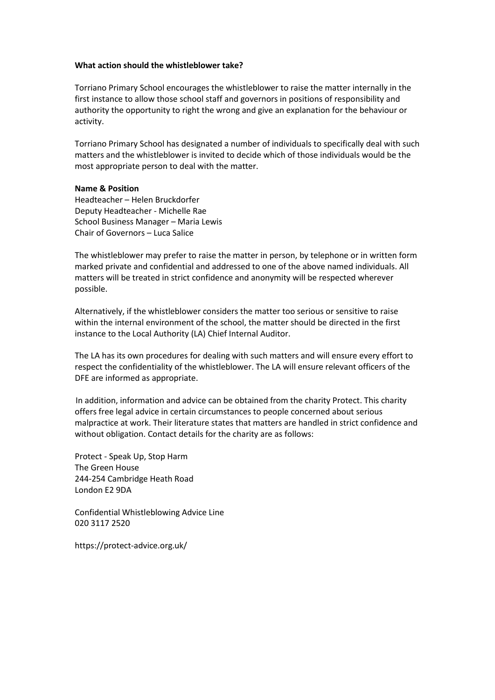#### **What action should the whistleblower take?**

Torriano Primary School encourages the whistleblower to raise the matter internally in the first instance to allow those school staff and governors in positions of responsibility and authority the opportunity to right the wrong and give an explanation for the behaviour or activity.

Torriano Primary School has designated a number of individuals to specifically deal with such matters and the whistleblower is invited to decide which of those individuals would be the most appropriate person to deal with the matter.

#### **Name & Position**

Headteacher – Helen Bruckdorfer Deputy Headteacher - Michelle Rae School Business Manager – Maria Lewis Chair of Governors – Luca Salice

The whistleblower may prefer to raise the matter in person, by telephone or in written form marked private and confidential and addressed to one of the above named individuals. All matters will be treated in strict confidence and anonymity will be respected wherever possible.

Alternatively, if the whistleblower considers the matter too serious or sensitive to raise within the internal environment of the school, the matter should be directed in the first instance to the Local Authority (LA) Chief Internal Auditor.

The LA has its own procedures for dealing with such matters and will ensure every effort to respect the confidentiality of the whistleblower. The LA will ensure relevant officers of the DFE are informed as appropriate.

In addition, information and advice can be obtained from the charity Protect. This charity offers free legal advice in certain circumstances to people concerned about serious malpractice at work. Their literature states that matters are handled in strict confidence and without obligation. Contact details for the charity are as follows:

Protect - Speak Up, Stop Harm The Green House 244-254 Cambridge Heath Road London E2 9DA

Confidential Whistleblowing Advice Line 020 3117 2520

https://protect-advice.org.uk/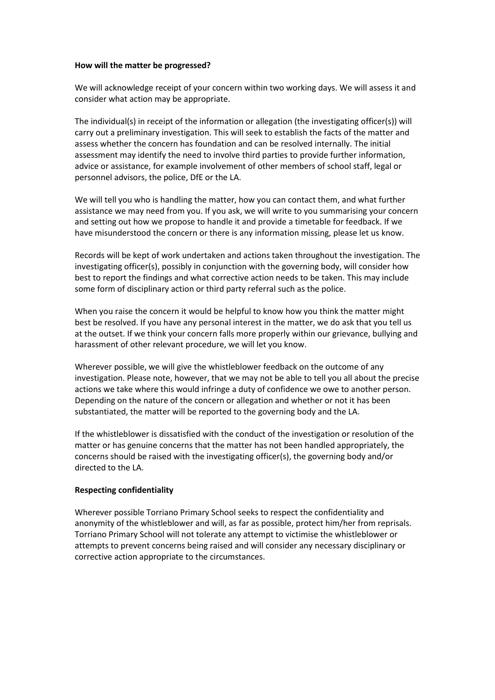#### **How will the matter be progressed?**

We will acknowledge receipt of your concern within two working days. We will assess it and consider what action may be appropriate.

The individual(s) in receipt of the information or allegation (the investigating officer(s)) will carry out a preliminary investigation. This will seek to establish the facts of the matter and assess whether the concern has foundation and can be resolved internally. The initial assessment may identify the need to involve third parties to provide further information, advice or assistance, for example involvement of other members of school staff, legal or personnel advisors, the police, DfE or the LA.

We will tell you who is handling the matter, how you can contact them, and what further assistance we may need from you. If you ask, we will write to you summarising your concern and setting out how we propose to handle it and provide a timetable for feedback. If we have misunderstood the concern or there is any information missing, please let us know.

Records will be kept of work undertaken and actions taken throughout the investigation. The investigating officer(s), possibly in conjunction with the governing body, will consider how best to report the findings and what corrective action needs to be taken. This may include some form of disciplinary action or third party referral such as the police.

When you raise the concern it would be helpful to know how you think the matter might best be resolved. If you have any personal interest in the matter, we do ask that you tell us at the outset. If we think your concern falls more properly within our grievance, bullying and harassment of other relevant procedure, we will let you know.

Wherever possible, we will give the whistleblower feedback on the outcome of any investigation. Please note, however, that we may not be able to tell you all about the precise actions we take where this would infringe a duty of confidence we owe to another person. Depending on the nature of the concern or allegation and whether or not it has been substantiated, the matter will be reported to the governing body and the LA.

If the whistleblower is dissatisfied with the conduct of the investigation or resolution of the matter or has genuine concerns that the matter has not been handled appropriately, the concerns should be raised with the investigating officer(s), the governing body and/or directed to the LA.

# **Respecting confidentiality**

Wherever possible Torriano Primary School seeks to respect the confidentiality and anonymity of the whistleblower and will, as far as possible, protect him/her from reprisals. Torriano Primary School will not tolerate any attempt to victimise the whistleblower or attempts to prevent concerns being raised and will consider any necessary disciplinary or corrective action appropriate to the circumstances.